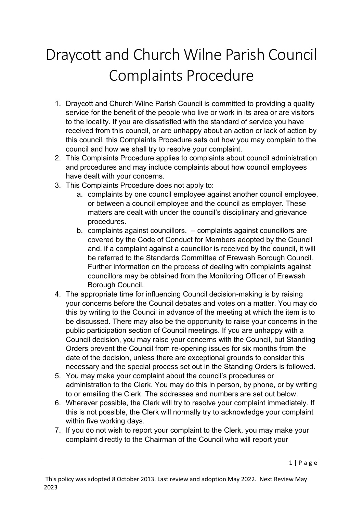## Draycott and Church Wilne Parish Council Complaints Procedure

- 1. Draycott and Church Wilne Parish Council is committed to providing a quality service for the benefit of the people who live or work in its area or are visitors to the locality. If you are dissatisfied with the standard of service you have received from this council, or are unhappy about an action or lack of action by this council, this Complaints Procedure sets out how you may complain to the council and how we shall try to resolve your complaint.
- 2. This Complaints Procedure applies to complaints about council administration and procedures and may include complaints about how council employees have dealt with your concerns.
- 3. This Complaints Procedure does not apply to:
	- a. complaints by one council employee against another council employee, or between a council employee and the council as employer. These matters are dealt with under the council's disciplinary and grievance procedures.
	- b. complaints against councillors. complaints against councillors are covered by the Code of Conduct for Members adopted by the Council and, if a complaint against a councillor is received by the council, it will be referred to the Standards Committee of Erewash Borough Council. Further information on the process of dealing with complaints against councillors may be obtained from the Monitoring Officer of Erewash Borough Council.
- 4. The appropriate time for influencing Council decision-making is by raising your concerns before the Council debates and votes on a matter. You may do this by writing to the Council in advance of the meeting at which the item is to be discussed. There may also be the opportunity to raise your concerns in the public participation section of Council meetings. If you are unhappy with a Council decision, you may raise your concerns with the Council, but Standing Orders prevent the Council from re-opening issues for six months from the date of the decision, unless there are exceptional grounds to consider this necessary and the special process set out in the Standing Orders is followed.
- 5. You may make your complaint about the council's procedures or administration to the Clerk. You may do this in person, by phone, or by writing to or emailing the Clerk. The addresses and numbers are set out below.
- 6. Wherever possible, the Clerk will try to resolve your complaint immediately. If this is not possible, the Clerk will normally try to acknowledge your complaint within five working days.
- 7. If you do not wish to report your complaint to the Clerk, you may make your complaint directly to the Chairman of the Council who will report your